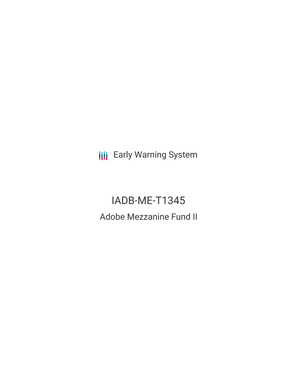**III** Early Warning System

IADB-ME-T1345 Adobe Mezzanine Fund II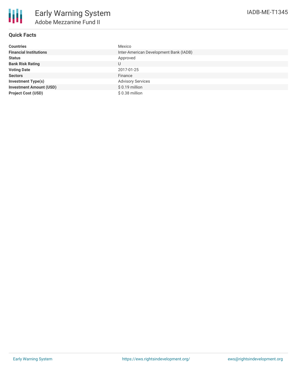| <b>Countries</b>               | Mexico                                 |
|--------------------------------|----------------------------------------|
| <b>Financial Institutions</b>  | Inter-American Development Bank (IADB) |
| <b>Status</b>                  | Approved                               |
| <b>Bank Risk Rating</b>        | U                                      |
| <b>Voting Date</b>             | 2017-01-25                             |
| <b>Sectors</b>                 | Finance                                |
| <b>Investment Type(s)</b>      | <b>Advisory Services</b>               |
| <b>Investment Amount (USD)</b> | $$0.19$ million                        |
| <b>Project Cost (USD)</b>      | \$0.38 million                         |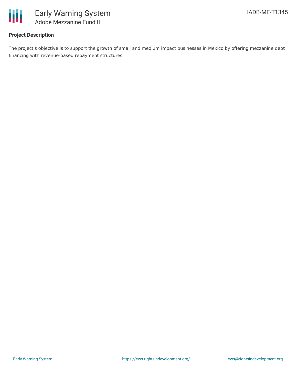

## **Project Description**

The project's objective is to support the growth of small and medium impact businesses in Mexico by offering mezzanine debt financing with revenue-based repayment structures.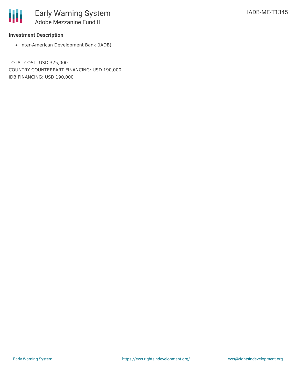## **Investment Description**

圃

• Inter-American Development Bank (IADB)

TOTAL COST: USD 375,000 COUNTRY COUNTERPART FINANCING: USD 190,000 IDB FINANCING: USD 190,000